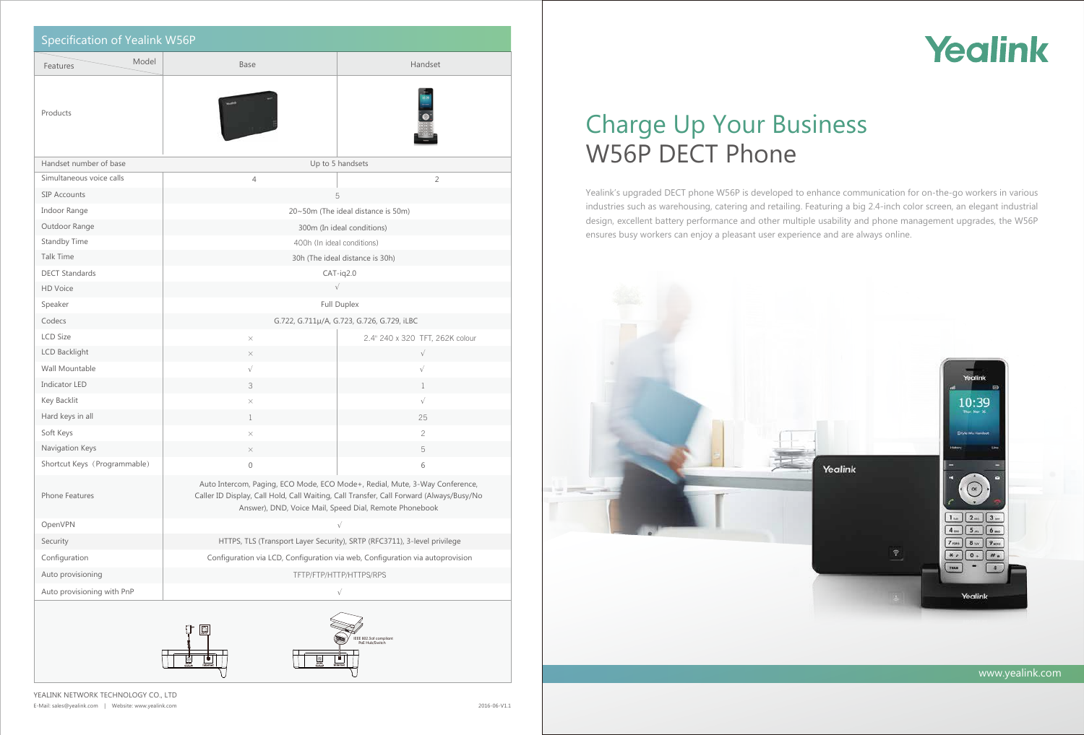

# Charge Up Your Business W56P DECT Phone

Yealink's upgraded DECT phone W56P is developed to enhance communication for on-the-go workers in various industries such as warehousing, catering and retailing. Featuring a big 2.4-inch color screen, an elegant industrial design, excellent battery performance and other multiple usability and phone management upgrades, the W56P ensures busy workers can enjoy a pleasant user experience and are always online.



YEALINK NETWORK TECHNOLOGY CO., LTD E-Mail: sales@yealink.com | Website: www.yealink.com

| Specification of Yealink W56P                                 |                                                                                                                                                                                                                                  |                                 |
|---------------------------------------------------------------|----------------------------------------------------------------------------------------------------------------------------------------------------------------------------------------------------------------------------------|---------------------------------|
| Model<br>Features                                             | <b>Base</b>                                                                                                                                                                                                                      | Handset                         |
| Products                                                      |                                                                                                                                                                                                                                  |                                 |
| Handset number of base                                        | Up to 5 handsets                                                                                                                                                                                                                 |                                 |
| Simultaneous voice calls                                      | $\overline{4}$                                                                                                                                                                                                                   | $\overline{2}$                  |
| SIP Accounts                                                  | 5                                                                                                                                                                                                                                |                                 |
| Indoor Range                                                  | 20~50m (The ideal distance is 50m)                                                                                                                                                                                               |                                 |
| Outdoor Range                                                 | 300m (In ideal conditions)                                                                                                                                                                                                       |                                 |
| Standby Time                                                  | 400h (In ideal conditions)                                                                                                                                                                                                       |                                 |
| Talk Time                                                     | 30h (The ideal distance is 30h)                                                                                                                                                                                                  |                                 |
| <b>DECT Standards</b>                                         | $CAT-iq2.0$                                                                                                                                                                                                                      |                                 |
| HD Voice                                                      | $\sqrt{}$                                                                                                                                                                                                                        |                                 |
| Speaker                                                       | Full Duplex                                                                                                                                                                                                                      |                                 |
| Codecs                                                        | G.722, G.711µ/A, G.723, G.726, G.729, iLBC                                                                                                                                                                                       |                                 |
| <b>LCD Size</b>                                               | $\times$                                                                                                                                                                                                                         | 2.4" 240 x 320 TFT, 262K colour |
| LCD Backlight                                                 | $\times$                                                                                                                                                                                                                         | $\sqrt{}$                       |
| Wall Mountable                                                | $\sqrt{}$                                                                                                                                                                                                                        | $\sqrt{}$                       |
| Indicator LED                                                 | 3                                                                                                                                                                                                                                | $\mathbf 1$                     |
| Key Backlit                                                   | $\times$                                                                                                                                                                                                                         | $\sqrt{}$                       |
| Hard keys in all                                              | $\mathbf 1$                                                                                                                                                                                                                      | 25                              |
| Soft Keys                                                     | $\times$                                                                                                                                                                                                                         | 2                               |
| Navigation Keys                                               | X                                                                                                                                                                                                                                | 5                               |
| Shortcut Keys (Programmable)                                  | $\mathsf{O}\xspace$                                                                                                                                                                                                              | 6                               |
| Phone Features                                                | Auto Intercom, Paging, ECO Mode, ECO Mode+, Redial, Mute, 3-Way Conference,<br>Caller ID Display, Call Hold, Call Waiting, Call Transfer, Call Forward (Always/Busy/No<br>Answer), DND, Voice Mail, Speed Dial, Remote Phonebook |                                 |
| OpenVPN                                                       |                                                                                                                                                                                                                                  | $\sqrt{}$                       |
| Security                                                      | HTTPS, TLS (Transport Layer Security), SRTP (RFC3711), 3-level privilege                                                                                                                                                         |                                 |
| Configuration                                                 | Configuration via LCD, Configuration via web, Configuration via autoprovision                                                                                                                                                    |                                 |
| Auto provisioning                                             | TFTP/FTP/HTTP/HTTPS/RPS                                                                                                                                                                                                          |                                 |
| Auto provisioning with PnP                                    | $\sqrt{}$                                                                                                                                                                                                                        |                                 |
| $\Box$<br>IEEE 802.3af compliant<br>PoE Hub/Switch<br>$\circ$ |                                                                                                                                                                                                                                  |                                 |

77

₹